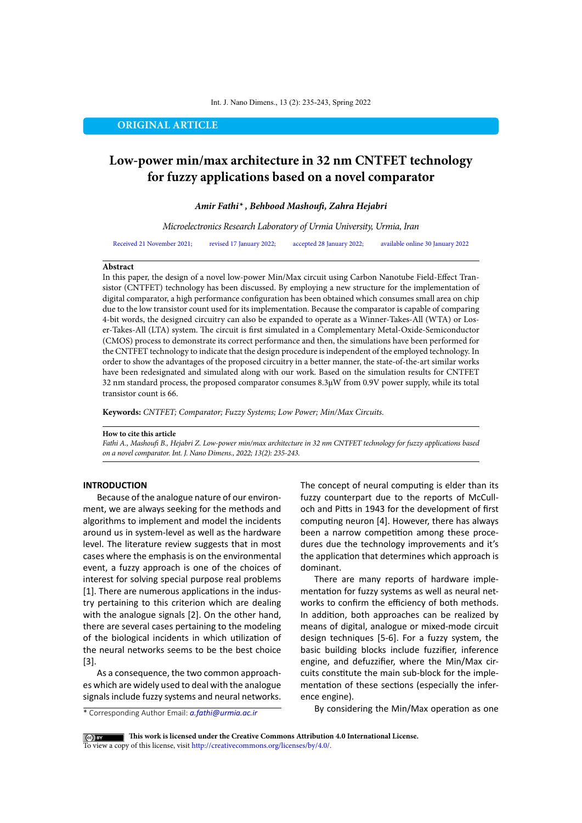#### Int. J. Nano Dimens., 13 (2): 235-243, Spring 2022

## **ORIGINAL ARTICLE**

# **Low-power min/max architecture in 32 nm CNTFET technology for fuzzy applications based on a novel comparator**

*Amir Fathi\* , Behbood Mashoufi, Zahra Hejabri*

*Microelectronics Research Laboratory of Urmia University, Urmia, Iran*

Received 21 November 2021; revised 17 January 2022; accepted 28 January 2022; available online 30 January 2022

## **Abstract**

In this paper, the design of a novel low-power Min/Max circuit using Carbon Nanotube Field-Effect Transistor (CNTFET) technology has been discussed. By employing a new structure for the implementation of digital comparator, a high performance configuration has been obtained which consumes small area on chip due to the low transistor count used for its implementation. Because the comparator is capable of comparing 4-bit words, the designed circuitry can also be expanded to operate as a Winner-Takes-All (WTA) or Loser-Takes-All (LTA) system. The circuit is first simulated in a Complementary Metal-Oxide-Semiconductor (CMOS) process to demonstrate its correct performance and then, the simulations have been performed for the CNTFET technology to indicate that the design procedure is independent of the employed technology. In order to show the advantages of the proposed circuitry in a better manner, the state-of-the-art similar works have been redesignated and simulated along with our work. Based on the simulation results for CNTFET 32 nm standard process, the proposed comparator consumes 8.3µW from 0.9V power supply, while its total transistor count is 66.

**Keywords:** *CNTFET; Comparator; Fuzzy Systems; Low Power; Min/Max Circuits.*

#### **How to cite this article**

*Fathi A., Mashoufi B., Hejabri Z. Low-power min/max architecture in 32 nm CNTFET technology for fuzzy applications based on a novel comparator. Int. J. Nano Dimens., 2022; 13(2): 235-243.* 

## **INTRODUCTION**

Because of the analogue nature of our environment, we are always seeking for the methods and algorithms to implement and model the incidents around us in system-level as well as the hardware level. The literature review suggests that in most cases where the emphasis is on the environmental event, a fuzzy approach is one of the choices of interest for solving special purpose real problems [1]. There are numerous applications in the industry pertaining to this criterion which are dealing with the analogue signals [2]. On the other hand, there are several cases pertaining to the modeling of the biological incidents in which utilization of the neural networks seems to be the best choice [3].

As a consequence, the two common approaches which are widely used to deal with the analogue signals include fuzzy systems and neural networks.

\* Corresponding Author Email: *a.fathi@urmia.ac.ir*

The concept of neural computing is elder than its fuzzy counterpart due to the reports of McCulloch and Pitts in 1943 for the development of first computing neuron [4]. However, there has always been a narrow competition among these procedures due the technology improvements and it's the application that determines which approach is dominant.

There are many reports of hardware implementation for fuzzy systems as well as neural networks to confirm the efficiency of both methods. In addition, both approaches can be realized by means of digital, analogue or mixed-mode circuit design techniques [5-6]. For a fuzzy system, the basic building blocks include fuzzifier, inference engine, and defuzzifier, where the Min/Max circuits constitute the main sub-block for the implementation of these sections (especially the inference engine).

By considering the Min/Max operation as one

**This work is licensed under the Creative Commons Attribution 4.0 International License.** To view a copy of this license, visit<http://creativecommons.org/licenses/by/4.0/.>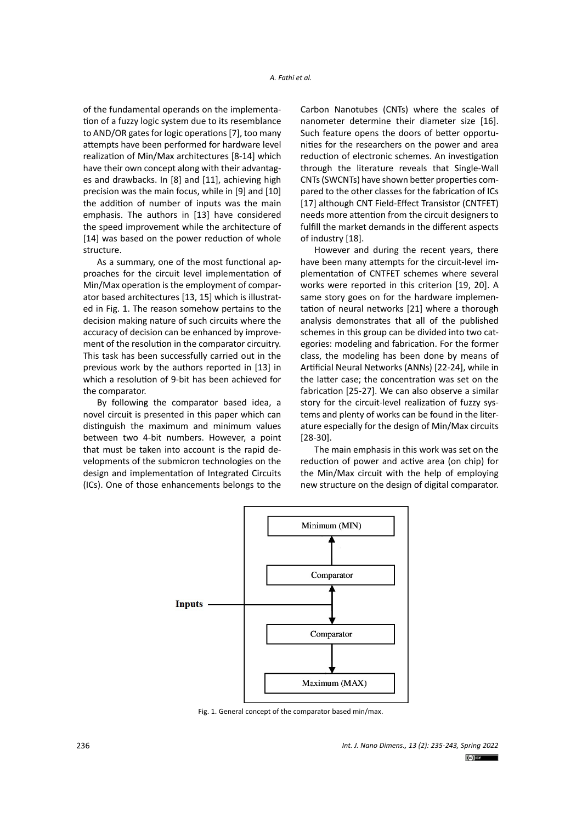of the fundamental operands on the implementation of a fuzzy logic system due to its resemblance to AND/OR gates for logic operations [7], too many attempts have been performed for hardware level realization of Min/Max architectures [8-14] which have their own concept along with their advantages and drawbacks. In [8] and [11], achieving high precision was the main focus, while in [9] and [10] the addition of number of inputs was the main emphasis. The authors in [13] have considered the speed improvement while the architecture of [14] was based on the power reduction of whole structure.

As a summary, one of the most functional approaches for the circuit level implementation of Min/Max operation is the employment of comparator based architectures [13, 15] which is illustrated in Fig. 1. The reason somehow pertains to the decision making nature of such circuits where the accuracy of decision can be enhanced by improvement of the resolution in the comparator circuitry. This task has been successfully carried out in the previous work by the authors reported in [13] in which a resolution of 9-bit has been achieved for the comparator.

By following the comparator based idea, a novel circuit is presented in this paper which can distinguish the maximum and minimum values between two 4-bit numbers. However, a point that must be taken into account is the rapid developments of the submicron technologies on the design and implementation of Integrated Circuits (ICs). One of those enhancements belongs to the

Carbon Nanotubes (CNTs) where the scales of nanometer determine their diameter size [16]. Such feature opens the doors of better opportunities for the researchers on the power and area reduction of electronic schemes. An investigation through the literature reveals that Single-Wall CNTs (SWCNTs) have shown better properties compared to the other classes for the fabrication of ICs [17] although CNT Field-Effect Transistor (CNTFET) needs more attention from the circuit designers to fulfill the market demands in the different aspects of industry [18].

However and during the recent years, there have been many attempts for the circuit-level implementation of CNTFET schemes where several works were reported in this criterion [19, 20]. A same story goes on for the hardware implementation of neural networks [21] where a thorough analysis demonstrates that all of the published schemes in this group can be divided into two categories: modeling and fabrication. For the former class, the modeling has been done by means of Artificial Neural Networks (ANNs) [22-24], while in the latter case; the concentration was set on the fabrication [25-27]. We can also observe a similar story for the circuit-level realization of fuzzy systems and plenty of works can be found in the literature especially for the design of Min/Max circuits [28-30].

The main emphasis in this work was set on the reduction of power and active area (on chip) for the Min/Max circuit with the help of employing new structure on the design of digital comparator.



Fig. 1. General concept of the comparator based min/max.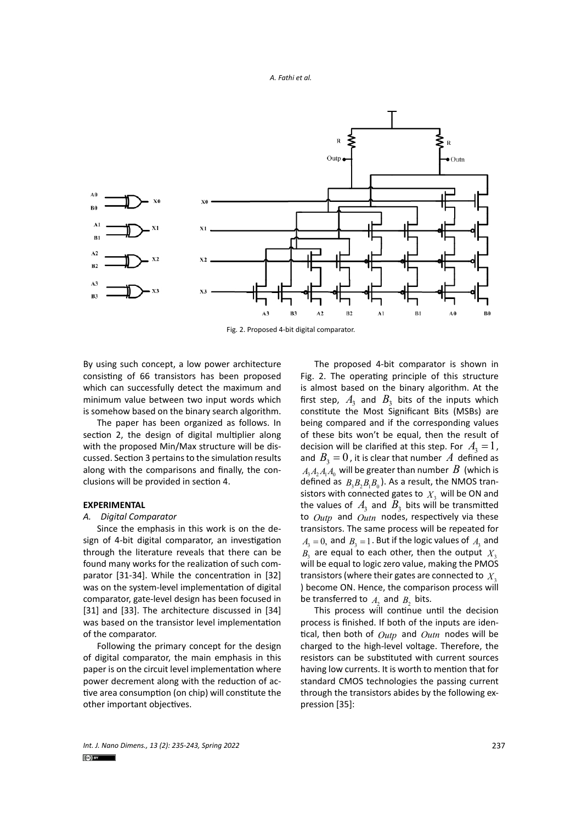

Fig. 2. Proposed 4-bit digital comparator.

By using such concept, a low power architecture consisting of 66 transistors has been proposed which can successfully detect the maximum and minimum value between two input words which is somehow based on the binary search algorithm.

The paper has been organized as follows. In section 2, the design of digital multiplier along with the proposed Min/Max structure will be discussed. Section 3 pertains to the simulation results along with the comparisons and finally, the conclusions will be provided in section 4.

## **EXPERIMENTAL**

## *A. Digital Comparator*

Since the emphasis in this work is on the design of 4-bit digital comparator, an investigation through the literature reveals that there can be found many works for the realization of such comparator [31-34]. While the concentration in [32] was on the system-level implementation of digital comparator, gate-level design has been focused in [31] and [33]. The architecture discussed in [34] was based on the transistor level implementation of the comparator.

Following the primary concept for the design of digital comparator, the main emphasis in this paper is on the circuit level implementation where power decrement along with the reduction of active area consumption (on chip) will constitute the other important objectives.

The proposed 4-bit comparator is shown in Fig. 2. The operating principle of this structure is almost based on the binary algorithm. At the first step,  $A_3$  and  $B_3$  bits of the inputs which constitute the Most Significant Bits (MSBs) are being compared and if the corresponding values of these bits won't be equal, then the result of decision will be clarified at this step. For  $A_3 = 1$ , and  $B_3 = 0$ , it is clear that number A defined as  $A_1A_2A_1A_0$  will be greater than number  $B$  (which is defined as  $B_3B_3B_1B_0$ ). As a result, the NMOS transistors with connected gates to  $X<sub>3</sub>$  will be ON and the values of  $A_3$  and  $B_3$  bits will be transmitted to *Outp* and *Outn* nodes, respectively via these transistors. The same process will be repeated for  $A_3 = 0$ , and  $B_3 = 1$ . But if the logic values of  $A_3$  and  $B_2$  are equal to each other, then the output  $X_3$ will be equal to logic zero value, making the PMOS transistors (where their gates are connected to  $X<sub>3</sub>$ ) become ON. Hence, the comparison process will be transferred to  $A_2$  and  $B_2$  bits.

This process will continue until the decision process is finished. If both of the inputs are identical, then both of *Outp* and *Outn* nodes will be charged to the high-level voltage. Therefore, the resistors can be substituted with current sources having low currents. It is worth to mention that for standard CMOS technologies the passing current through the transistors abides by the following expression [35]: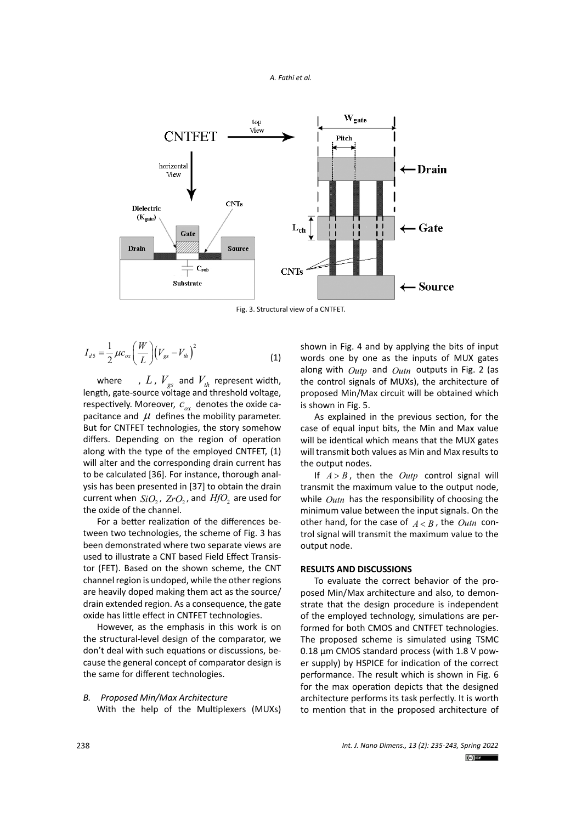



Fig. 3. Structural view of a CNTFET.

$$
I_{ds} = \frac{1}{2} \mu c_{ox} \left(\frac{W}{L}\right) \left(V_{gs} - V_{th}\right)^2
$$
 (1)

where  $\blacksquare$ ,  $L$ ,  $V_{gs}$  and  $V_{th}$  represent width, length, gate-source voltage and threshold voltage, respectively. Moreover,  $c_{\alpha x}$  denotes the oxide capacitance and  $\mu$  defines the mobility parameter. But for CNTFET technologies, the story somehow differs. Depending on the region of operation along with the type of the employed CNTFET, (1) will alter and the corresponding drain current has to be calculated [36]. For instance, thorough analysis has been presented in [37] to obtain the drain current when  $SiO<sub>2</sub>$ ,  $ZrO<sub>2</sub>$ , and  $HfO<sub>2</sub>$  are used for the oxide of the channel.

For a better realization of the differences between two technologies, the scheme of Fig. 3 has been demonstrated where two separate views are used to illustrate a CNT based Field Effect Transistor (FET). Based on the shown scheme, the CNT channel region is undoped, while the other regions are heavily doped making them act as the source/ drain extended region. As a consequence, the gate oxide has little effect in CNTFET technologies.

However, as the emphasis in this work is on the structural-level design of the comparator, we don't deal with such equations or discussions, because the general concept of comparator design is the same for different technologies.

*B. Proposed Min/Max Architecture* With the help of the Multiplexers (MUXs) shown in Fig. 4 and by applying the bits of input words one by one as the inputs of MUX gates along with *Outp* and *Outn* outputs in Fig. 2 (as the control signals of MUXs), the architecture of proposed Min/Max circuit will be obtained which is shown in Fig. 5.

As explained in the previous section, for the case of equal input bits, the Min and Max value will be identical which means that the MUX gates will transmit both values as Min and Max results to the output nodes.

If  $A > B$ , then the *Outp* control signal will transmit the maximum value to the output node, while *Outn* has the responsibility of choosing the minimum value between the input signals. On the other hand, for the case of  $A < B$ , the *Outn* control signal will transmit the maximum value to the output node.

#### **RESULTS AND DISCUSSIONS**

To evaluate the correct behavior of the proposed Min/Max architecture and also, to demonstrate that the design procedure is independent of the employed technology, simulations are performed for both CMOS and CNTFET technologies. The proposed scheme is simulated using TSMC 0.18 µm CMOS standard process (with 1.8 V power supply) by HSPICE for indication of the correct performance. The result which is shown in Fig. 6 for the max operation depicts that the designed architecture performs its task perfectly. It is worth to mention that in the proposed architecture of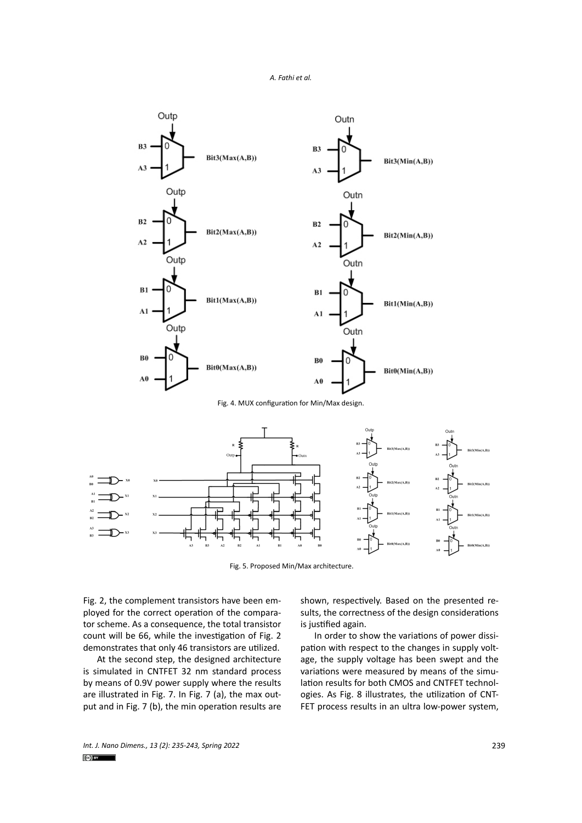

Fig. 4. MUX configuration for Min/Max design.



Fig. 5. Proposed Min/Max architecture.

Fig. 2, the complement transistors have been employed for the correct operation of the comparator scheme. As a consequence, the total transistor count will be 66, while the investigation of Fig. 2 demonstrates that only 46 transistors are utilized.

At the second step, the designed architecture is simulated in CNTFET 32 nm standard process by means of 0.9V power supply where the results are illustrated in Fig. 7. In Fig. 7 (a), the max output and in Fig. 7 (b), the min operation results are shown, respectively. Based on the presented results, the correctness of the design considerations is justified again.

In order to show the variations of power dissipation with respect to the changes in supply voltage, the supply voltage has been swept and the variations were measured by means of the simulation results for both CMOS and CNTFET technologies. As Fig. 8 illustrates, the utilization of CNT-FET process results in an ultra low-power system,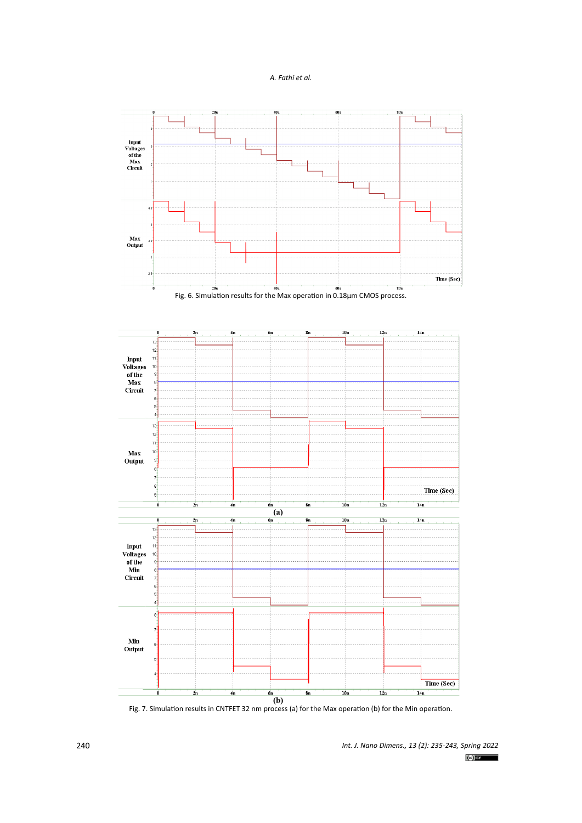







Fig. 7. Simulation results in CNTFET 32 nm process (a) for the Max operation (b) for the Min operation.

*Int. J. Nano Dimens., 13 (2): 235-243, Spring 2022*  $(c)$  BY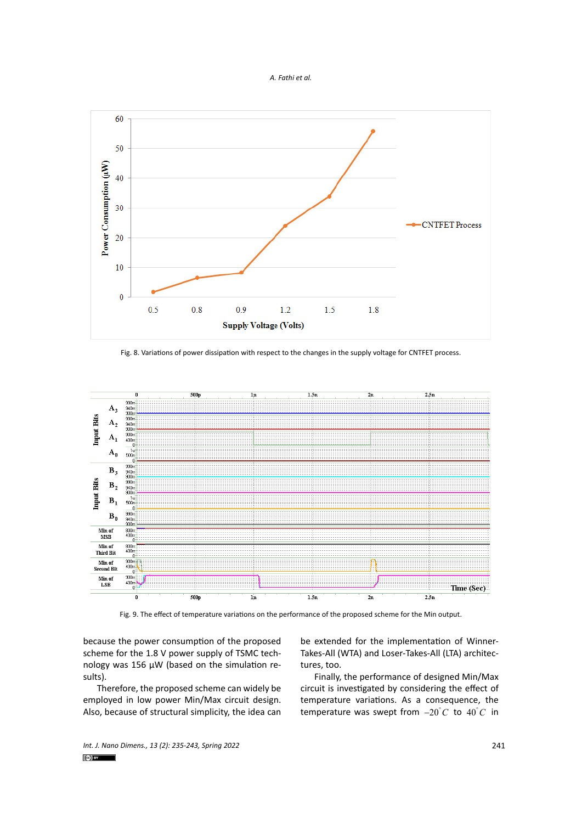



Fig. 8. Variations of power dissipation with respect to the changes in the supply voltage for CNTFET process.



Fig. 9. The effect of temperature variations on the performance of the proposed scheme for the Min output.

because the power consumption of the proposed scheme for the 1.8 V power supply of TSMC technology was 156 µW (based on the simulation results).

Therefore, the proposed scheme can widely be employed in low power Min/Max circuit design. Also, because of structural simplicity, the idea can

be extended for the implementation of Winner-Takes-All (WTA) and Loser-Takes-All (LTA) architectures, too.

Finally, the performance of designed Min/Max circuit is investigated by considering the effect of temperature variations. As a consequence, the temperature was swept from  $-20^{\circ}$ C to  $40^{\circ}$ C in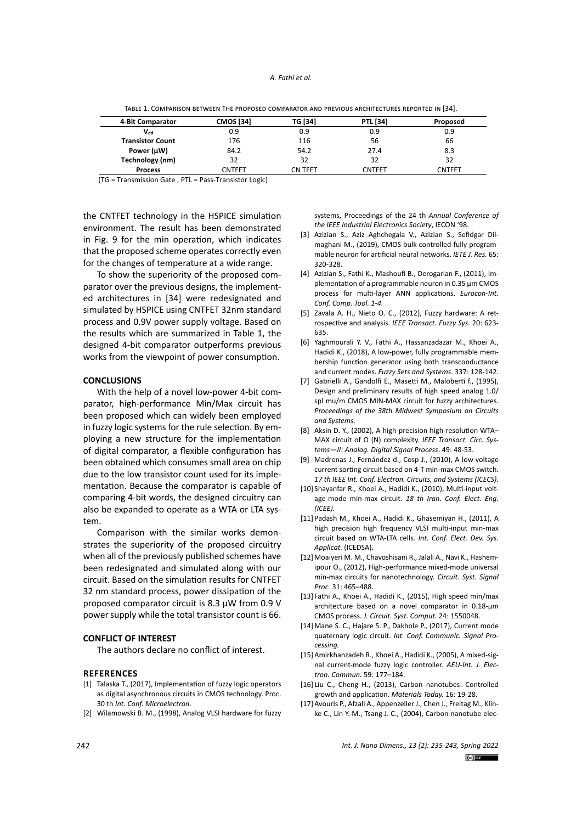| 4-Bit Comparator           | <b>CMOS [34]</b> | TG [34] | <b>PTL [34]</b> | Proposed      |
|----------------------------|------------------|---------|-----------------|---------------|
| $\mathsf{V}_{\mathsf{dd}}$ | 0.9              | 0.9     | 0.9             | 0.9           |
| <b>Transistor Count</b>    | 176              | 116     | 56              | 66            |
| Power (µW)                 | 84.2             | 54.2    | 27.4            | 8.3           |
| Technology (nm)            | 32               | 32      | 32              | 32            |
| <b>Process</b>             | <b>CNTFET</b>    | CN TFET | <b>CNTFET</b>   | <b>CNTFET</b> |

Table 1. Comparison between The proposed comparator and previous architectures reported in [34]. Table 1. Comparison between The proposed comparator and previous architectures reported in [34].

(TG = Transmission Gate , PTL = Pass‐Transistor Logic)

the CNTFET technology in the HSPICE simulation environment. The result has been demonstrated in Fig. 9 for the min operation, which indicates that the proposed scheme operates correctly even for the changes of temperature at a wide range.

To show the superiority of the proposed comparator over the previous designs, the implemented architectures in [34] were redesignated and simulated by HSPICE using CNTFET 32nm standard process and 0.9V power supply voltage. Based on the results which are summarized in Table 1, the designed 4-bit comparator outperforms previous works from the viewpoint of power consumption.

## **CONCLUSIONS**

With the help of a novel low-power 4-bit comparator, high-performance Min/Max circuit has been proposed which can widely been employed in fuzzy logic systems for the rule selection. By employing a new structure for the implementation of digital comparator, a flexible configuration has been obtained which consumes small area on chip due to the low transistor count used for its implementation. Because the comparator is capable of comparing 4-bit words, the designed circuitry can also be expanded to operate as a WTA or LTA system.

Comparison with the similar works demonstrates the superiority of the proposed circuitry when all of the previously published schemes have been redesignated and simulated along with our circuit. Based on the simulation results for CNTFET 32 nm standard process, power dissipation of the proposed comparator circuit is 8.3 µW from 0.9 V power supply while the total transistor count is 66.

## **CONFLICT OF INTEREST**

The authors declare no conflict of interest.

#### **REFERENCES**

- [1] Talaska T., (2017), Implementation of fuzzy logic operators as digital asynchronous circuits in CMOS technology. Proc. 30 th *Int. Conf. Microelectron.*
- [2] Wilamowski B. M., (1998), Analog VLSI hardware for fuzzy

systems, Proceedings of the 24 th *Annual Conference of the IEEE Industrial Electronics Society*, IECON '98.

- [3] Azizian S., Aziz Aghchegala V., Azizian S., Sefidgar Dilmaghani M., (2019), CMOS bulk-controlled fully programmable neuron for artificial neural networks. *IETE J. Res.* 65: 320-328.
- [4] Azizian S., Fathi K., Mashoufi B., Derogarian F., (2011), Implementation of a programmable neuron in 0.35 μm CMOS process for multi-layer ANN applications. *Eurocon-Int. Conf. Comp. Tool. 1-4.*
- [5] Zavala A. H., Nieto O. C., (2012), Fuzzy hardware: A retrospective and analysis. *IEEE Transact. Fuzzy Sys.* 20: 623- 635.
- [6] Yaghmourali Y. V., Fathi A., Hassanzadazar M., Khoei A., Hadidi K., (2018), A low-power, fully programmable membership function generator using both transconductance and current modes. *Fuzzy Sets and Systems*. 337: 128-142.
- [7] Gabrielli A., Gandolfi E., Masetti M., Maloberti f., (1995), Design and preliminary results of high speed analog 1.0/ spl mu/m CMOS MIN-MAX circuit for fuzzy architectures. *Proceedings of the 38th Midwest Symposium on Circuits and Systems.*
- [8] Aksin D. Y., (2002), A high-precision high-resolution WTA– MAX circuit of O (N) complexity. *IEEE Transact. Circ. Systems—II: Analog. Digital Signal Process*. 49: 48-53.
- [9] Madrenas J., Fernández d., Cosp J., (2010), A low-voltage current sorting circuit based on 4-T min-max CMOS switch. *17 th IEEE Int. Conf. Electron. Circuits, and Systems (ICECS).*
- [10] Shayanfar R., Khoei A., Hadidi K., (2010), Multi-input voltage-mode min-max circuit. *18 th Iran. Conf. Elect. Eng. (ICEE).*
- [11] Padash M., Khoei A., Hadidi K., Ghasemiyan H., (2011), A high precision high frequency VLSI multi-input min-max circuit based on WTA-LTA cells*. Int. Conf. Elect. Dev. Sys. Applicat.* (ICEDSA).
- [12] Moaiyeri M. M., Chavoshisani R., Jalali A., Navi K., Hashemipour O., (2012), High-performance mixed-mode universal min-max circuits for nanotechnology. *Circuit. Syst. Signal Proc.* 31: 465–488.
- [13] Fathi A., Khoei A., Hadidi K., (2015), High speed min/max architecture based on a novel comparator in 0.18-μm CMOS process. *J. Circuit. Syst. Comput.* 24: 1550048.
- [14] Mane S. C., Hajare S. P., Dakhole P., (2017), Current mode quaternary logic circuit. *Int. Conf. Communic. Signal Processing.*
- [15]Amirkhanzadeh R., Khoei A., Hadidi K., (2005), A mixed-signal current-mode fuzzy logic controller. *AEU-Int. J. Electron. Commun.* 59: 177–184.
- [16] Liu C., Cheng H., (2013), Carbon nanotubes: Controlled growth and application. *Materials Today.* 16: 19-28.
- [17]Avouris P., Afzali A., Appenzeller J., Chen J., Freitag M., Klinke C., Lin Y.-M., Tsang J. C., (2004), Carbon nanotube elec-

*Int. J. Nano Dimens., 13 (2): 235-243, Spring 2022*  $\left(\text{c} \right)$  BY